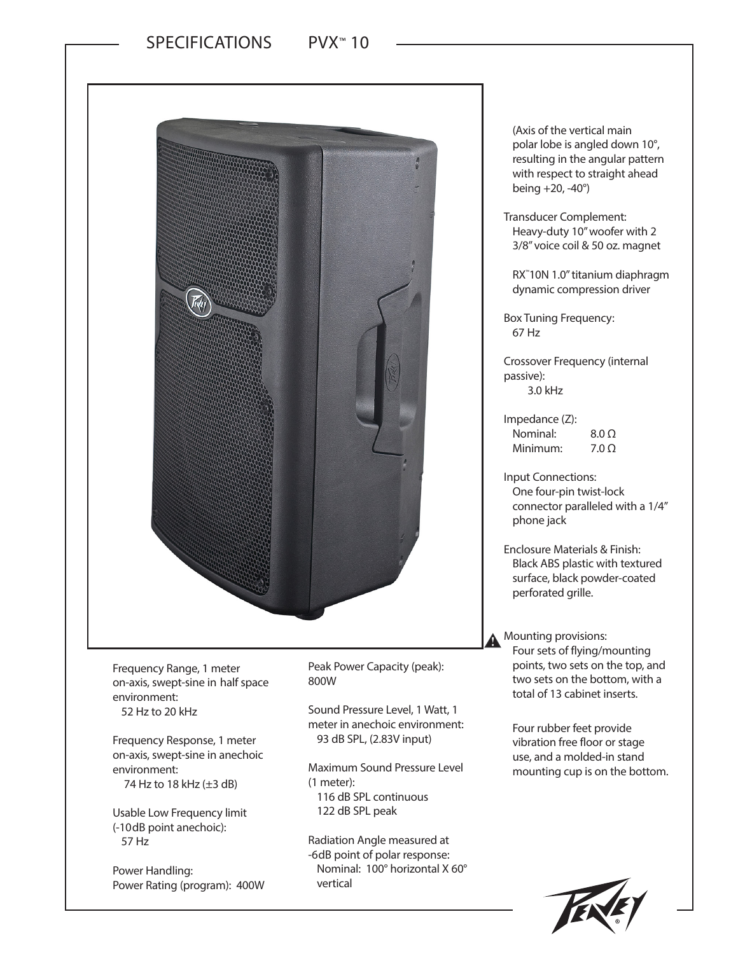

Frequency Range, 1 meter on-axis, swept-sine in half space environment:

52 Hz to 20 kHz

Frequency Response, 1 meter on-axis, swept-sine in anechoic environment: 74 Hz to 18 kHz (±3 dB)

Usable Low Frequency limit (-10dB point anechoic): 57 Hz

Power Handling: Power Rating (program): 400W Peak Power Capacity (peak): 800W

Sound Pressure Level, 1 Watt, 1 meter in anechoic environment: 93 dB SPL, (2.83V input)

Maximum Sound Pressure Level (1 meter): 116 dB SPL continuous

122 dB SPL peak

Radiation Angle measured at -6dB point of polar response: Nominal: 100° horizontal X 60° vertical

(Axis of the vertical main polar lobe is angled down 10°, resulting in the angular pattern with respect to straight ahead being +20, -40°)

Transducer Complement: Heavy-duty 10" woofer with 2 3/8" voice coil & 50 oz. magnet

RX™ 10N 1.0" titanium diaphragm dynamic compression driver

Box Tuning Frequency: 67 Hz

Crossover Frequency (internal passive): 3.0 kHz

Impedance (Z): Nominal: 8.0 Ω Minimum: 7.0 Ω

Input Connections: One four-pin twist-lock connector paralleled with a 1/4" phone jack

Enclosure Materials & Finish: Black ABS plastic with textured surface, black powder-coated perforated grille.

Mounting provisions: Four sets of flying/mounting points, two sets on the top, and two sets on the bottom, with a total of 13 cabinet inserts.

Four rubber feet provide vibration free floor or stage use, and a molded-in stand mounting cup is on the bottom.

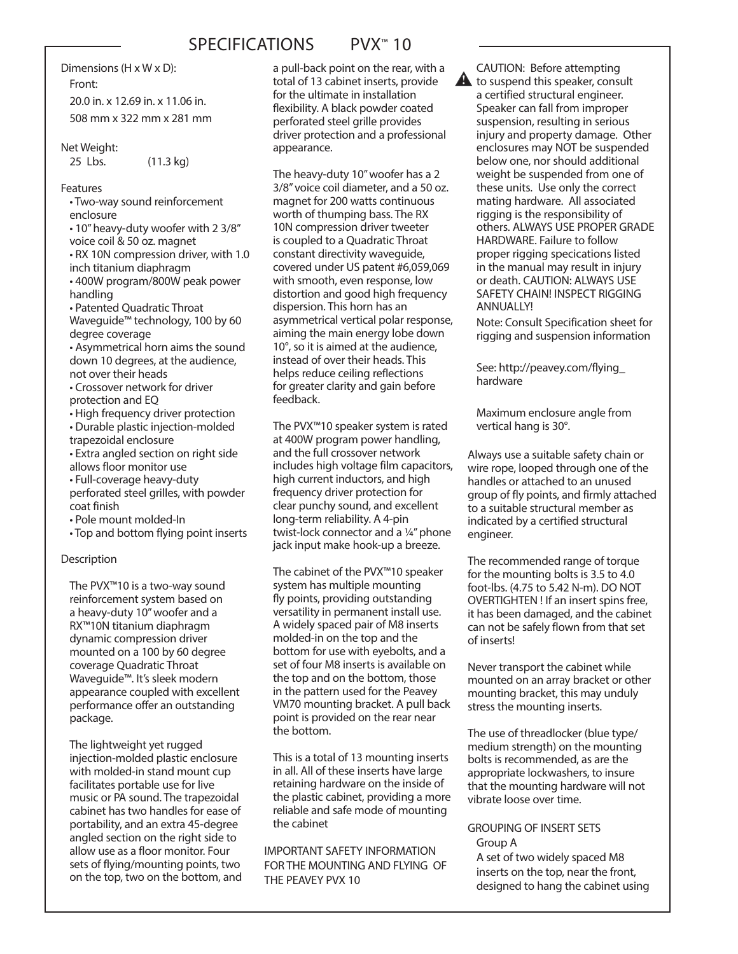# SPECIFICATIONS PVX™ 10

Dimensions (H x W x D):

Front:

20.0 in. x 12.69 in. x 11.06 in. 508 mm x 322 mm x 281 mm

#### Net Weight:

25 Lbs. (11.3 kg)

## Features

• Two-way sound reinforcement enclosure

• 10" heavy-duty woofer with 2 3/8" voice coil & 50 oz. magnet

• RX 10N compression driver, with 1.0 inch titanium diaphragm

• 400W program/800W peak power handling

• Patented Quadratic Throat Waveguide™ technology, 100 by 60 degree coverage

• Asymmetrical horn aims the sound down 10 degrees, at the audience, not over their heads

• Crossover network for driver protection and EQ

• High frequency driver protection

• Durable plastic injection-molded trapezoidal enclosure

• Extra angled section on right side allows floor monitor use

• Full-coverage heavy-duty

perforated steel grilles, with powder coat finish

• Pole mount molded-In

• Top and bottom flying point inserts

#### **Description**

The PVX™10 is a two-way sound reinforcement system based on a heavy-duty 10" woofer and a RX™10N titanium diaphragm dynamic compression driver mounted on a 100 by 60 degree coverage Quadratic Throat Waveguide™. It's sleek modern appearance coupled with excellent performance offer an outstanding package.

The lightweight yet rugged injection-molded plastic enclosure with molded-in stand mount cup facilitates portable use for live music or PA sound. The trapezoidal cabinet has two handles for ease of portability, and an extra 45-degree angled section on the right side to allow use as a floor monitor. Four sets of flying/mounting points, two on the top, two on the bottom, and a pull-back point on the rear, with a total of 13 cabinet inserts, provide for the ultimate in installation flexibility. A black powder coated perforated steel grille provides driver protection and a professional appearance.

The heavy-duty 10" woofer has a 2 3/8" voice coil diameter, and a 50 oz. magnet for 200 watts continuous worth of thumping bass. The RX 10N compression driver tweeter is coupled to a Quadratic Throat constant directivity waveguide, covered under US patent #6,059,069 with smooth, even response, low distortion and good high frequency dispersion. This horn has an asymmetrical vertical polar response, aiming the main energy lobe down 10°, so it is aimed at the audience, instead of over their heads. This helps reduce ceiling reflections for greater clarity and gain before feedback.

The PVX™10 speaker system is rated at 400W program power handling, and the full crossover network includes high voltage film capacitors, high current inductors, and high frequency driver protection for clear punchy sound, and excellent long-term reliability. A 4-pin twist-lock connector and a ¼" phone jack input make hook-up a breeze.

The cabinet of the PVX™10 speaker system has multiple mounting fly points, providing outstanding versatility in permanent install use. A widely spaced pair of M8 inserts molded-in on the top and the bottom for use with eyebolts, and a set of four M8 inserts is available on the top and on the bottom, those in the pattern used for the Peavey VM70 mounting bracket. A pull back point is provided on the rear near the bottom.

This is a total of 13 mounting inserts in all. All of these inserts have large retaining hardware on the inside of the plastic cabinet, providing a more reliable and safe mode of mounting the cabinet

IMPORTANT SAFETY INFORMATION FOR THE MOUNTING AND FLYING OF THE PEAVEY PVX 10

CAUTION: Before attempting  $\blacktriangle$ to suspend this speaker, consult a certified structural engineer. Speaker can fall from improper suspension, resulting in serious injury and property damage. Other enclosures may NOT be suspended below one, nor should additional weight be suspended from one of these units. Use only the correct mating hardware. All associated rigging is the responsibility of others. ALWAYS USE PROPER GRADE HARDWARE. Failure to follow proper rigging specications listed in the manual may result in injury or death. CAUTION: ALWAYS USE SAFETY CHAIN! INSPECT RIGGING ANNUALLY!

> Note: Consult Specification sheet for rigging and suspension information

See: http://peavey.com/flying\_ hardware

Maximum enclosure angle from vertical hang is 30°.

Always use a suitable safety chain or wire rope, looped through one of the handles or attached to an unused group of fly points, and firmly attached to a suitable structural member as indicated by a certified structural engineer.

The recommended range of torque for the mounting bolts is 3.5 to 4.0 foot-lbs. (4.75 to 5.42 N-m). DO NOT OVERTIGHTEN ! If an insert spins free, it has been damaged, and the cabinet can not be safely flown from that set of inserts!

Never transport the cabinet while mounted on an array bracket or other mounting bracket, this may unduly stress the mounting inserts.

The use of threadlocker (blue type/ medium strength) on the mounting bolts is recommended, as are the appropriate lockwashers, to insure that the mounting hardware will not vibrate loose over time.

#### GROUPING OF INSERT SETS Group A

A set of two widely spaced M8 inserts on the top, near the front, designed to hang the cabinet using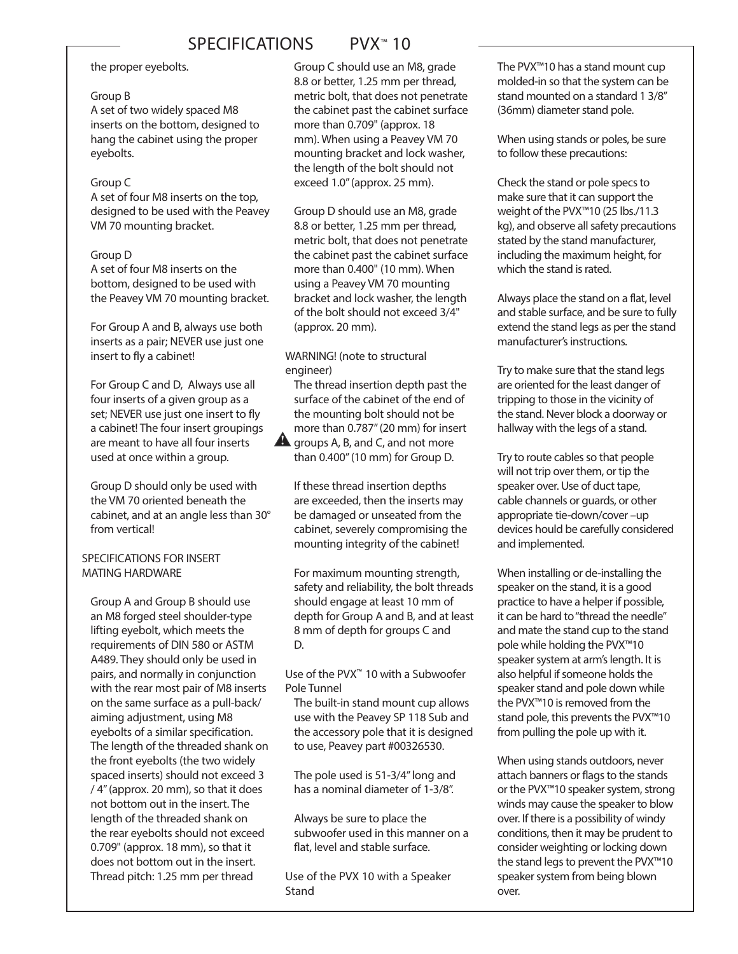## SPECIFICATIONS PVX<sup>™</sup> 10

#### the proper eyebolts.

#### Group B

A set of two widely spaced M8 inserts on the bottom, designed to hang the cabinet using the proper eyebolts.

#### Group C

A set of four M8 inserts on the top, designed to be used with the Peavey VM 70 mounting bracket.

#### Group D

A set of four M8 inserts on the bottom, designed to be used with the Peavey VM 70 mounting bracket.

For Group A and B, always use both inserts as a pair; NEVER use just one insert to fly a cabinet!

For Group C and D, Always use all four inserts of a given group as a set; NEVER use just one insert to fly a cabinet! The four insert groupings are meant to have all four inserts used at once within a group.

Group D should only be used with the VM 70 oriented beneath the cabinet, and at an angle less than 30° from vertical!

## SPECIFICATIONS FOR INSERT MATING HARDWARE

Group A and Group B should use an M8 forged steel shoulder-type lifting eyebolt, which meets the requirements of DIN 580 or ASTM A489. They should only be used in pairs, and normally in conjunction with the rear most pair of M8 inserts on the same surface as a pull-back/ aiming adjustment, using M8 eyebolts of a similar specification. The length of the threaded shank on the front eyebolts (the two widely spaced inserts) should not exceed 3 / 4" (approx. 20 mm), so that it does not bottom out in the insert. The length of the threaded shank on the rear eyebolts should not exceed 0.709" (approx. 18 mm), so that it does not bottom out in the insert. Thread pitch: 1.25 mm per thread

Group C should use an M8, grade 8.8 or better, 1.25 mm per thread, metric bolt, that does not penetrate the cabinet past the cabinet surface more than 0.709" (approx. 18 mm). When using a Peavey VM 70 mounting bracket and lock washer, the length of the bolt should not exceed 1.0" (approx. 25 mm).

Group D should use an M8, grade 8.8 or better, 1.25 mm per thread, metric bolt, that does not penetrate the cabinet past the cabinet surface more than 0.400" (10 mm). When using a Peavey VM 70 mounting bracket and lock washer, the length of the bolt should not exceed 3/4" (approx. 20 mm).

WARNING! (note to structural engineer)

The thread insertion depth past the surface of the cabinet of the end of the mounting bolt should not be more than 0.787" (20 mm) for insert groups A, B, and C, and not more than 0.400" (10 mm) for Group D.

If these thread insertion depths are exceeded, then the inserts may be damaged or unseated from the cabinet, severely compromising the mounting integrity of the cabinet!

For maximum mounting strength, safety and reliability, the bolt threads should engage at least 10 mm of depth for Group A and B, and at least 8 mm of depth for groups C and D.

Use of the PVX™ 10 with a Subwoofer Pole Tunnel

The built-in stand mount cup allows use with the Peavey SP 118 Sub and the accessory pole that it is designed to use, Peavey part #00326530.

The pole used is 51-3/4" long and has a nominal diameter of 1-3/8".

Always be sure to place the subwoofer used in this manner on a flat, level and stable surface.

Use of the PVX 10 with a Speaker Stand

The PVX™10 has a stand mount cup molded-in so that the system can be stand mounted on a standard 1 3/8" (36mm) diameter stand pole.

When using stands or poles, be sure to follow these precautions:

Check the stand or pole specs to make sure that it can support the weight of the PVX™10 (25 lbs./11.3 kg), and observe all safety precautions stated by the stand manufacturer, including the maximum height, for which the stand is rated.

Always place the stand on a flat, level and stable surface, and be sure to fully extend the stand legs as per the stand manufacturer's instructions.

Try to make sure that the stand legs are oriented for the least danger of tripping to those in the vicinity of the stand. Never block a doorway or hallway with the legs of a stand.

Try to route cables so that people will not trip over them, or tip the speaker over. Use of duct tape, cable channels or guards, or other appropriate tie-down/cover –up devices hould be carefully considered and implemented.

When installing or de-installing the speaker on the stand, it is a good practice to have a helper if possible, it can be hard to "thread the needle" and mate the stand cup to the stand pole while holding the PVX™10 speaker system at arm's length. It is also helpful if someone holds the speaker stand and pole down while the PVX™10 is removed from the stand pole, this prevents the PVX™10 from pulling the pole up with it.

When using stands outdoors, never attach banners or flags to the stands or the PVX™10 speaker system, strong winds may cause the speaker to blow over. If there is a possibility of windy conditions, then it may be prudent to consider weighting or locking down the stand legs to prevent the PVX™10 speaker system from being blown over.